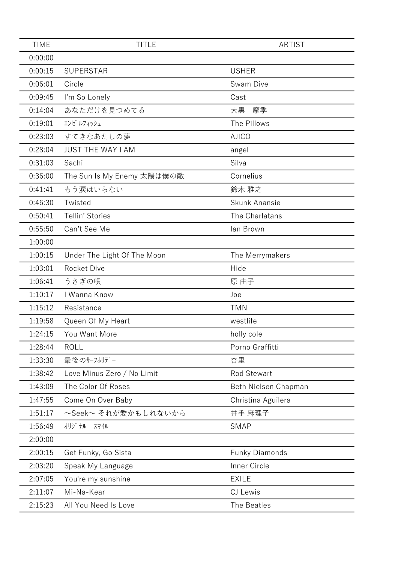| <b>TIME</b> | <b>TITLE</b>                | <b>ARTIST</b>         |
|-------------|-----------------------------|-----------------------|
| 0:00:00     |                             |                       |
| 0:00:15     | <b>SUPERSTAR</b>            | <b>USHER</b>          |
| 0:06:01     | Circle                      | Swam Dive             |
| 0:09:45     | I'm So Lonely               | Cast                  |
| 0:14:04     | あなただけを見つめてる                 | 大黒<br>摩季              |
| 0:19:01     | エンゼ ルフィッシュ                  | The Pillows           |
| 0:23:03     | すてきなあたしの夢                   | <b>AJICO</b>          |
| 0:28:04     | <b>JUST THE WAY I AM</b>    | angel                 |
| 0:31:03     | Sachi                       | Silva                 |
| 0:36:00     | The Sun Is My Enemy 太陽は僕の敵  | Cornelius             |
| 0:41:41     | もう涙はいらない                    | 鈴木 雅之                 |
| 0:46:30     | Twisted                     | Skunk Anansie         |
| 0:50:41     | Tellin' Stories             | The Charlatans        |
| 0:55:50     | Can't See Me                | lan Brown             |
| 1:00:00     |                             |                       |
| 1:00:15     | Under The Light Of The Moon | The Merrymakers       |
| 1:03:01     | <b>Rocket Dive</b>          | Hide                  |
| 1:06:41     | うさぎの唄                       | 原 由子                  |
| 1:10:17     | I Wanna Know                | Joe                   |
| 1:15:12     | Resistance                  | <b>TMN</b>            |
| 1:19:58     | Queen Of My Heart           | westlife              |
| 1:24:15     | You Want More               | holly cole            |
| 1:28:44     | <b>ROLL</b>                 | Porno Graffitti       |
| 1:33:30     | 最後のサーフホリデー                  | 杏里                    |
| 1:38:42     | Love Minus Zero / No Limit  | <b>Rod Stewart</b>    |
| 1:43:09     | The Color Of Roses          | Beth Nielsen Chapman  |
| 1:47:55     | Come On Over Baby           | Christina Aguilera    |
| 1:51:17     | ~Seek~ それが愛かもしれないから         | 井手 麻理子                |
| 1:56:49     | オリジ ナル スマイル                 | SMAP                  |
| 2:00:00     |                             |                       |
| 2:00:15     | Get Funky, Go Sista         | <b>Funky Diamonds</b> |
| 2:03:20     | Speak My Language           | Inner Circle          |
| 2:07:05     | You're my sunshine          | <b>EXILE</b>          |
| 2:11:07     | Mi-Na-Kear                  | CJ Lewis              |
| 2:15:23     | All You Need Is Love        | The Beatles           |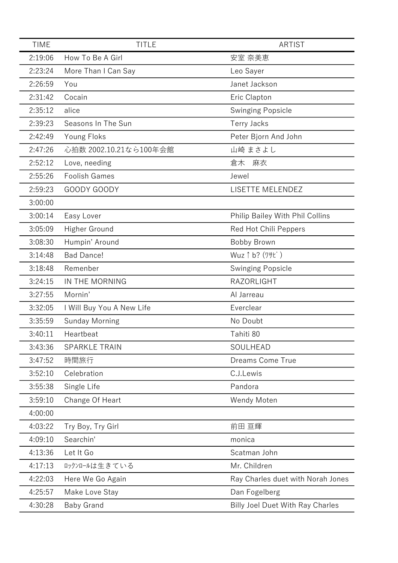| <b>TIME</b> | <b>TITLE</b>              | <b>ARTIST</b>                           |
|-------------|---------------------------|-----------------------------------------|
| 2:19:06     | How To Be A Girl          | 安室 奈美恵                                  |
| 2:23:24     | More Than I Can Say       | Leo Sayer                               |
| 2:26:59     | You                       | Janet Jackson                           |
| 2:31:42     | Cocain                    | Eric Clapton                            |
| 2:35:12     | alice                     | Swinging Popsicle                       |
| 2:39:23     | Seasons In The Sun        | <b>Terry Jacks</b>                      |
| 2:42:49     | Young Floks               | Peter Bjorn And John                    |
| 2:47:26     | 心拍数 2002.10.21なら100年会館    | 山崎 まさよし                                 |
| 2:52:12     | Love, needing             | 麻衣<br>倉木                                |
| 2:55:26     | <b>Foolish Games</b>      | Jewel                                   |
| 2:59:23     | GOODY GOODY               | LISETTE MELENDEZ                        |
| 3:00:00     |                           |                                         |
| 3:00:14     | Easy Lover                | Philip Bailey With Phil Collins         |
| 3:05:09     | Higher Ground             | Red Hot Chili Peppers                   |
| 3:08:30     | Humpin' Around            | Bobby Brown                             |
| 3:14:48     | <b>Bad Dance!</b>         | Wuz 1 b? (7")                           |
| 3:18:48     | Remenber                  | <b>Swinging Popsicle</b>                |
| 3:24:15     | IN THE MORNING            | RAZORLIGHT                              |
| 3:27:55     | Mornin'                   | Al Jarreau                              |
| 3:32:05     | I Will Buy You A New Life | Everclear                               |
| 3:35:59     | <b>Sunday Morning</b>     | No Doubt                                |
| 3:40:11     | Heartbeat                 | Tahiti 80                               |
| 3:43:36     | <b>SPARKLE TRAIN</b>      | SOULHEAD                                |
| 3:47:52     | 時間旅行                      | Dreams Come True                        |
| 3:52:10     | Celebration               | C.J.Lewis                               |
| 3:55:38     | Single Life               | Pandora                                 |
| 3:59:10     | Change Of Heart           | Wendy Moten                             |
| 4:00:00     |                           |                                         |
| 4:03:22     | Try Boy, Try Girl         | 前田 亘輝                                   |
| 4:09:10     | Searchin'                 | monica                                  |
| 4:13:36     | Let It Go                 | Scatman John                            |
| 4:17:13     | ロックンロールは生きている             | Mr. Children                            |
| 4:22:03     | Here We Go Again          | Ray Charles duet with Norah Jones       |
| 4:25:57     | Make Love Stay            | Dan Fogelberg                           |
| 4:30:28     | <b>Baby Grand</b>         | <b>Billy Joel Duet With Ray Charles</b> |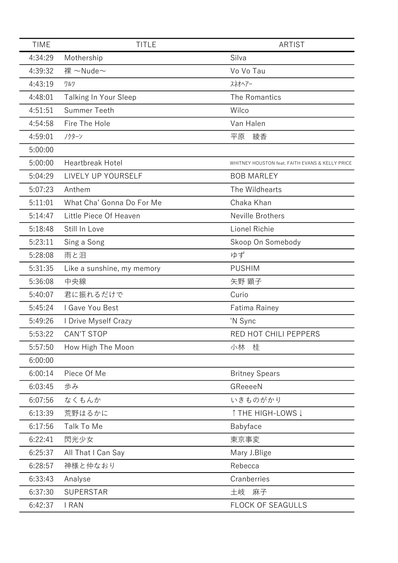| <b>TIME</b> | <b>TITLE</b>                 | <b>ARTIST</b>                                   |
|-------------|------------------------------|-------------------------------------------------|
| 4:34:29     | Mothership                   | Silva                                           |
| 4:39:32     | 裸 ~Nude~                     | Vo Vo Tau                                       |
| 4:43:19     | ワルツ                          | スネオヘアー                                          |
| 4:48:01     | <b>Talking In Your Sleep</b> | The Romantics                                   |
| 4:51:51     | Summer Teeth                 | Wilco                                           |
| 4:54:58     | Fire The Hole                | Van Halen                                       |
| 4:59:01     | ノクターン                        | 平原<br>綾香                                        |
| 5:00:00     |                              |                                                 |
| 5:00:00     | <b>Heartbreak Hotel</b>      | WHITNEY HOUSTON feat. FAITH EVANS & KELLY PRICE |
| 5:04:29     | LIVELY UP YOURSELF           | <b>BOB MARLEY</b>                               |
| 5:07:23     | Anthem                       | The Wildhearts                                  |
| 5:11:01     | What Cha' Gonna Do For Me    | Chaka Khan                                      |
| 5:14:47     | Little Piece Of Heaven       | Neville Brothers                                |
| 5:18:48     | Still In Love                | Lionel Richie                                   |
| 5:23:11     | Sing a Song                  | Skoop On Somebody                               |
| 5:28:08     | 雨と泪                          | ゆず                                              |
| 5:31:35     | Like a sunshine, my memory   | <b>PUSHIM</b>                                   |
| 5:36:08     | 中央線                          | 矢野 顕子                                           |
| 5:40:07     | 君に振れるだけで                     | Curio                                           |
| 5:45:24     | I Gave You Best              | <b>Fatima Rainey</b>                            |
| 5:49:26     | I Drive Myself Crazy         | 'N Sync                                         |
| 5:53:22     | <b>CAN'T STOP</b>            | RED HOT CHILI PEPPERS                           |
| 5:57:50     | How High The Moon            | 小林<br>桂                                         |
| 6:00:00     |                              |                                                 |
| 6:00:14     | Piece Of Me                  | <b>Britney Spears</b>                           |
| 6:03:45     | 歩み                           | GReeeeN                                         |
| 6:07:56     | なくもんか                        | いきものがかり                                         |
| 6:13:39     | 荒野はるかに                       | ↑ THE HIGH-LOWS ↓                               |
| 6:17:56     | Talk To Me                   | Babyface                                        |
| 6:22:41     | 閃光少女                         | 東京事変                                            |
| 6:25:37     | All That I Can Say           | Mary J.Blige                                    |
| 6:28:57     | 神様と仲なおり                      | Rebecca                                         |
| 6:33:43     | Analyse                      | Cranberries                                     |
| 6:37:30     | <b>SUPERSTAR</b>             | 土岐<br>麻子                                        |
| 6:42:37     | <b>I RAN</b>                 | FLOCK OF SEAGULLS                               |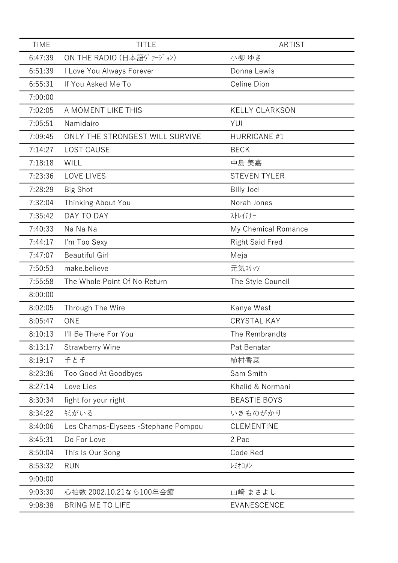| <b>TIME</b> | <b>TITLE</b>                        | <b>ARTIST</b>          |
|-------------|-------------------------------------|------------------------|
| 6:47:39     | ON THE RADIO (日本語ヴァージョン)            | 小柳 ゆき                  |
| 6:51:39     | I Love You Always Forever           | Donna Lewis            |
| 6:55:31     | If You Asked Me To                  | Celine Dion            |
| 7:00:00     |                                     |                        |
| 7:02:05     | A MOMENT LIKE THIS                  | <b>KELLY CLARKSON</b>  |
| 7:05:51     | Namidairo                           | YUI                    |
| 7:09:45     | ONLY THE STRONGEST WILL SURVIVE     | <b>HURRICANE #1</b>    |
| 7:14:27     | <b>LOST CAUSE</b>                   | <b>BECK</b>            |
| 7:18:18     | WILL                                | 中島 美嘉                  |
| 7:23:36     | <b>LOVE LIVES</b>                   | <b>STEVEN TYLER</b>    |
| 7:28:29     | <b>Big Shot</b>                     | <b>Billy Joel</b>      |
| 7:32:04     | Thinking About You                  | Norah Jones            |
| 7:35:42     | DAY TO DAY                          | ストレイテナー                |
| 7:40:33     | Na Na Na                            | My Chemical Romance    |
| 7:44:17     | I'm Too Sexy                        | <b>Right Said Fred</b> |
| 7:47:07     | <b>Beautiful Girl</b>               | Meja                   |
| 7:50:53     | make.believe                        | 元気ロケッツ                 |
| 7:55:58     | The Whole Point Of No Return        | The Style Council      |
| 8:00:00     |                                     |                        |
| 8:02:05     | Through The Wire                    | Kanye West             |
| 8:05:47     | ONE                                 | <b>CRYSTAL KAY</b>     |
| 8:10:13     | I'll Be There For You               | The Rembrandts         |
| 8:13:17     | <b>Strawberry Wine</b>              | Pat Benatar            |
| 8:19:17     | 手と手                                 | 植村香菜                   |
| 8:23:36     | Too Good At Goodbyes                | Sam Smith              |
| 8:27:14     | Love Lies                           | Khalid & Normani       |
| 8:30:34     | fight for your right                | <b>BEASTIE BOYS</b>    |
| 8:34:22     | おがいる                                | いきものがかり                |
| 8:40:06     | Les Champs-Elysees -Stephane Pompou | <b>CLEMENTINE</b>      |
| 8:45:31     | Do For Love                         | 2 Pac                  |
| 8:50:04     | This Is Our Song                    | Code Red               |
| 8:53:32     | <b>RUN</b>                          | レミオロメン                 |
| 9:00:00     |                                     |                        |
| 9:03:30     | 心拍数 2002.10.21なら100年会館              | 山崎 まさよし                |
| 9:08:38     | <b>BRING ME TO LIFE</b>             | EVANESCENCE            |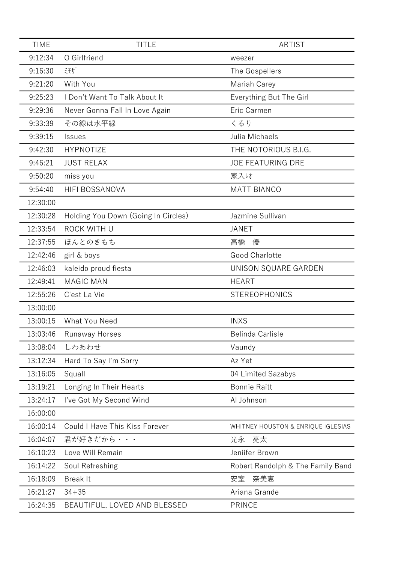| <b>TIME</b> | <b>TITLE</b>                        | <b>ARTIST</b>                      |
|-------------|-------------------------------------|------------------------------------|
| 9:12:34     | O Girlfriend                        | weezer                             |
| 9:16:30     | ミモザ                                 | The Gospellers                     |
| 9:21:20     | With You                            | Mariah Carey                       |
| 9:25:23     | I Don't Want To Talk About It       | Everything But The Girl            |
| 9:29:36     | Never Gonna Fall In Love Again      | Eric Carmen                        |
| 9:33:39     | その線は水平線                             | くるり                                |
| 9:39:15     | <b>Issues</b>                       | Julia Michaels                     |
| 9:42:30     | <b>HYPNOTIZE</b>                    | THE NOTORIOUS B.I.G.               |
| 9:46:21     | <b>JUST RELAX</b>                   | <b>JOE FEATURING DRE</b>           |
| 9:50:20     | miss you                            | 家入け                                |
| 9:54:40     | HIFI BOSSANOVA                      | <b>MATT BIANCO</b>                 |
| 12:30:00    |                                     |                                    |
| 12:30:28    | Holding You Down (Going In Circles) | Jazmine Sullivan                   |
| 12:33:54    | ROCK WITH U                         | <b>JANET</b>                       |
| 12:37:55    | ほんとのきもち                             | 高橋<br>優                            |
| 12:42:46    | girl & boys                         | Good Charlotte                     |
| 12:46:03    | kaleido proud fiesta                | UNISON SQUARE GARDEN               |
| 12:49:41    | <b>MAGIC MAN</b>                    | <b>HEART</b>                       |
| 12:55:26    | C'est La Vie                        | <b>STEREOPHONICS</b>               |
| 13:00:00    |                                     |                                    |
| 13:00:15    | What You Need                       | <b>INXS</b>                        |
| 13:03:46    | Runaway Horses                      | Belinda Carlisle                   |
| 13:08:04    | しわあわせ                               | Vaundy                             |
| 13:12:34    | Hard To Say I'm Sorry               | Az Yet                             |
| 13:16:05    | Squall                              | 04 Limited Sazabys                 |
| 13:19:21    | Longing In Their Hearts             | <b>Bonnie Raitt</b>                |
| 13:24:17    | I've Got My Second Wind             | Al Johnson                         |
| 16:00:00    |                                     |                                    |
| 16:00:14    | Could I Have This Kiss Forever      | WHITNEY HOUSTON & ENRIQUE IGLESIAS |
| 16:04:07    | 君が好きだから・・・                          | 光永<br>亮太                           |
| 16:10:23    | Love Will Remain                    | Jeniifer Brown                     |
| 16:14:22    | Soul Refreshing                     | Robert Randolph & The Family Band  |
| 16:18:09    | <b>Break It</b>                     | 安室<br>奈美恵                          |
| 16:21:27    | $34 + 35$                           | Ariana Grande                      |
| 16:24:35    | BEAUTIFUL, LOVED AND BLESSED        | <b>PRINCE</b>                      |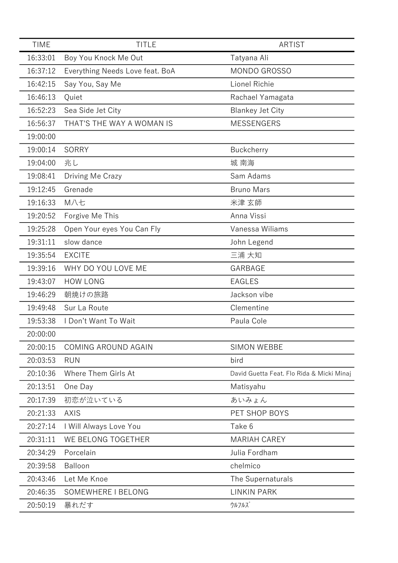| <b>TIME</b> | <b>TITLE</b>                    | <b>ARTIST</b>                             |
|-------------|---------------------------------|-------------------------------------------|
| 16:33:01    | Boy You Knock Me Out            | Tatyana Ali                               |
| 16:37:12    | Everything Needs Love feat. BoA | <b>MONDO GROSSO</b>                       |
| 16:42:15    | Say You, Say Me                 | Lionel Richie                             |
| 16:46:13    | Quiet                           | Rachael Yamagata                          |
| 16:52:23    | Sea Side Jet City               | <b>Blankey Jet City</b>                   |
| 16:56:37    | THAT'S THE WAY A WOMAN IS       | <b>MESSENGERS</b>                         |
| 19:00:00    |                                 |                                           |
| 19:00:14    | SORRY                           | Buckcherry                                |
| 19:04:00    | 兆し                              | 城 南海                                      |
| 19:08:41    | Driving Me Crazy                | Sam Adams                                 |
| 19:12:45    | Grenade                         | <b>Bruno Mars</b>                         |
| 19:16:33    | M八七                             | 米津 玄師                                     |
| 19:20:52    | Forgive Me This                 | Anna Vissi                                |
| 19:25:28    | Open Your eyes You Can Fly      | Vanessa Wiliams                           |
| 19:31:11    | slow dance                      | John Legend                               |
| 19:35:54    | <b>EXCITE</b>                   | 三浦 大知                                     |
| 19:39:16    | WHY DO YOU LOVE ME              | GARBAGE                                   |
| 19:43:07    | <b>HOW LONG</b>                 | <b>EAGLES</b>                             |
| 19:46:29    | 朝焼けの旅路                          | Jackson vibe                              |
| 19:49:48    | Sur La Route                    | Clementine                                |
| 19:53:38    | I Don't Want To Wait            | Paula Cole                                |
| 20:00:00    |                                 |                                           |
| 20:00:15    | COMING AROUND AGAIN             | <b>SIMON WEBBE</b>                        |
| 20:03:53    | <b>RUN</b>                      | bird                                      |
| 20:10:36    | Where Them Girls At             | David Guetta Feat. Flo Rida & Micki Minaj |
| 20:13:51    | One Day                         | Matisyahu                                 |
| 20:17:39    | 初恋が泣いている                        | あいみょん                                     |
| 20:21:33    | <b>AXIS</b>                     | PET SHOP BOYS                             |
| 20:27:14    | I Will Always Love You          | Take 6                                    |
| 20:31:11    | WE BELONG TOGETHER              | <b>MARIAH CAREY</b>                       |
| 20:34:29    | Porcelain                       | Julia Fordham                             |
| 20:39:58    | Balloon                         | chelmico                                  |
| 20:43:46    | Let Me Knoe                     | The Supernaturals                         |
| 20:46:35    | SOMEWHERE I BELONG              | <b>LINKIN PARK</b>                        |
| 20:50:19    | 暴れだす                            | ウルフルズ                                     |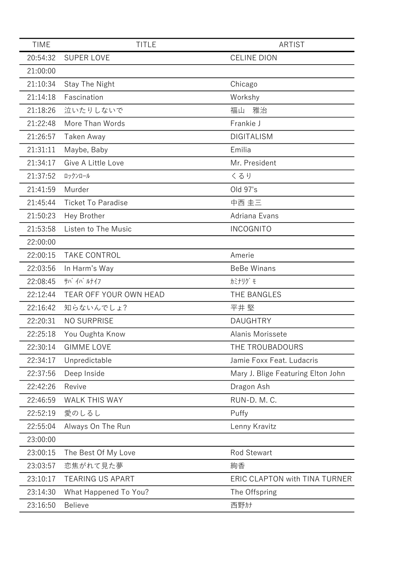| <b>TIME</b> | <b>TITLE</b>              | <b>ARTIST</b>                      |
|-------------|---------------------------|------------------------------------|
| 20:54:32    | <b>SUPER LOVE</b>         | <b>CELINE DION</b>                 |
| 21:00:00    |                           |                                    |
| 21:10:34    | Stay The Night            | Chicago                            |
| 21:14:18    | Fascination               | Workshy                            |
| 21:18:26    | 泣いたりしないで                  | 雅治<br>福山                           |
| 21:22:48    | More Than Words           | Frankie J                          |
| 21:26:57    | Taken Away                | <b>DIGITALISM</b>                  |
| 21:31:11    | Maybe, Baby               | Emilia                             |
| 21:34:17    | Give A Little Love        | Mr. President                      |
| 21:37:52    | ロックンロール                   | くるり                                |
| 21:41:59    | Murder                    | Old 97's                           |
| 21:45:44    | <b>Ticket To Paradise</b> | 中西 圭三                              |
| 21:50:23    | Hey Brother               | Adriana Evans                      |
| 21:53:58    | Listen to The Music       | <b>INCOGNITO</b>                   |
| 22:00:00    |                           |                                    |
| 22:00:15    | <b>TAKE CONTROL</b>       | Amerie                             |
| 22:03:56    | In Harm's Way             | <b>BeBe Winans</b>                 |
| 22:08:45    | サバ イバ ルナイフ                | カミナリグ モ                            |
| 22:12:44    | TEAR OFF YOUR OWN HEAD    | THE BANGLES                        |
| 22:16:42    | 知らないんでしょ?                 | 平井 堅                               |
| 22:20:31    | <b>NO SURPRISE</b>        | <b>DAUGHTRY</b>                    |
| 22:25:18    | You Oughta Know           | Alanis Morissete                   |
| 22:30:14    | <b>GIMME LOVE</b>         | THE TROUBADOURS                    |
| 22:34:17    | Unpredictable             | Jamie Foxx Feat. Ludacris          |
| 22:37:56    | Deep Inside               | Mary J. Blige Featuring Elton John |
| 22:42:26    | Revive                    | Dragon Ash                         |
| 22:46:59    | <b>WALK THIS WAY</b>      | RUN-D. M. C.                       |
| 22:52:19    | 愛のしるし                     | Puffy                              |
| 22:55:04    | Always On The Run         | Lenny Kravitz                      |
| 23:00:00    |                           |                                    |
| 23:00:15    | The Best Of My Love       | <b>Rod Stewart</b>                 |
| 23:03:57    | 恋焦がれて見た夢                  | 絢香                                 |
| 23:10:17    | <b>TEARING US APART</b>   | ERIC CLAPTON with TINA TURNER      |
| 23:14:30    | What Happened To You?     | The Offspring                      |
| 23:16:50    | <b>Believe</b>            | 西野カナ                               |